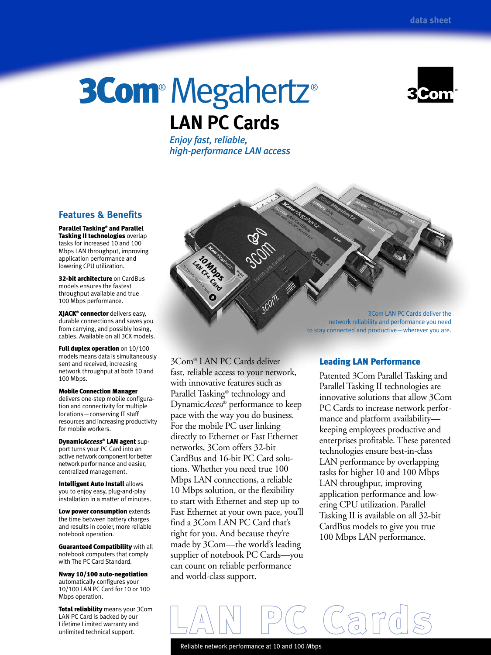# 3Com® Megahertz® **LAN PC Cards**

*Enjoy fast, reliable, high-performance LAN access*

# **Features & Benefits**

Parallel Tasking® and Parallel Tasking II technologies overlap tasks for increased 10 and 100 Mbps LAN throughput, improving application performance and lowering CPU utilization.

32-bit architecture on CardBus models ensures the fastest throughput available and true 100 Mbps performance.

XJACK® connector delivers easy, durable connections and saves you from carrying, and possibly losing, cables. Available on all 3CX models.

Full duplex operation on 10/100 models means data is simultaneously sent and received, increasing network throughput at both 10 and 100 Mbps.

Mobile Connection Manager delivers one-step mobile configuration and connectivity for multiple locations—conserving IT staff resources and increasing productivity for mobile workers.

Dynamic*Access*® LAN agent support turns your PC Card into an active network component for better network performance and easier, centralized management.

Intelligent Auto Install allows you to enjoy easy, plug-and-play installation in a matter of minutes.

Low power consumption extends the time between battery charges and results in cooler, more reliable notebook operation.

Guaranteed Compatibility with all notebook computers that comply with The PC Card Standard.

Nway 10/100 auto-negotiation automatically configures your 10/100 LAN PC Card for 10 or 100 Mbps operation.

Total reliability means your 3Com LAN PC Card is backed by our Lifetime Limited warranty and unlimited technical support.

3Com® LAN PC Cards deliver fast, reliable access to your network, with innovative features such as Parallel Tasking® technology and Dynamic*Access*® performance to keep pace with the way you do business. For the mobile PC user linking directly to Ethernet or Fast Ethernet networks, 3Com offers 32-bit CardBus and 16-bit PC Card solutions. Whether you need true 100 Mbps LAN connections, a reliable 10 Mbps solution, or the flexibility to start with Ethernet and step up to Fast Ethernet at your own pace, you'll find a 3Com LAN PC Card that's right for you. And because they're made by 3Com—the world's leading supplier of notebook PC Cards—you can count on reliable performance and world-class support.

3Com LAN PC Cards deliver the network reliability and performance you need to stay connected and productive—wherever you are.

# Leading LAN Performance

Patented 3Com Parallel Tasking and Parallel Tasking II technologies are innovative solutions that allow 3Com PC Cards to increase network performance and platform availability keeping employees productive and enterprises profitable. These patented technologies ensure best-in-class LAN performance by overlapping tasks for higher 10 and 100 Mbps LAN throughput, improving application performance and lowering CPU utilization. Parallel Tasking II is available on all 32-bit CardBus models to give you true 100 Mbps LAN performance.

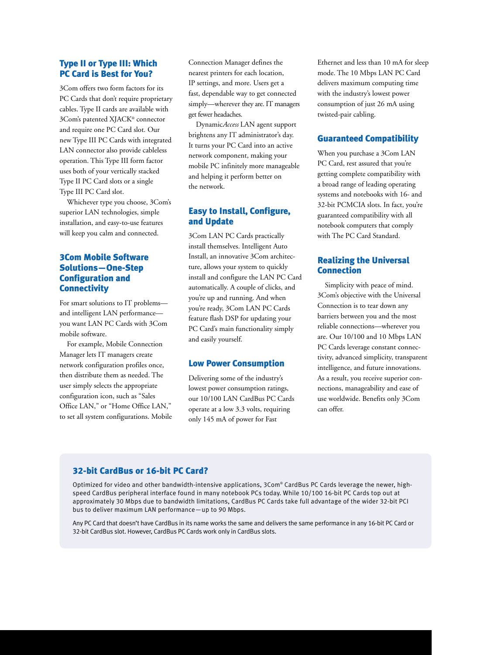# Type II or Type III: Which PC Card is Best for You?

3Com offers two form factors for its PC Cards that don't require proprietary cables. Type II cards are available with 3Com's patented XJACK® connector and require one PC Card slot. Our new Type III PC Cards with integrated LAN connector also provide cableless operation. This Type III form factor uses both of your vertically stacked Type II PC Card slots or a single Type III PC Card slot.

Whichever type you choose, 3Com's superior LAN technologies, simple installation, and easy-to-use features will keep you calm and connected.

# 3Com Mobile Software Solutions—One-Step Configuration and **Connectivity**

For smart solutions to IT problems and intelligent LAN performance you want LAN PC Cards with 3Com mobile software.

For example, Mobile Connection Manager lets IT managers create network configuration profiles once, then distribute them as needed. The user simply selects the appropriate configuration icon, such as "Sales Office LAN," or "Home Office LAN," to set all system configurations. Mobile Connection Manager defines the nearest printers for each location, IP settings, and more. Users get a fast, dependable way to get connected simply—wherever they are. IT managers get fewer headaches.

Dynamic*Access* LAN agent support brightens any IT administrator's day. It turns your PC Card into an active network component, making your mobile PC infinitely more manageable and helping it perform better on the network.

# Easy to Install, Configure, and Update

3Com LAN PC Cards practically install themselves. Intelligent Auto Install, an innovative 3Com architecture, allows your system to quickly install and configure the LAN PC Card automatically. A couple of clicks, and you're up and running. And when you're ready, 3Com LAN PC Cards feature flash DSP for updating your PC Card's main functionality simply and easily yourself.

# Low Power Consumption

Delivering some of the industry's lowest power consumption ratings, our 10/100 LAN CardBus PC Cards operate at a low 3.3 volts, requiring only 145 mA of power for Fast

Ethernet and less than 10 mA for sleep mode. The 10 Mbps LAN PC Card delivers maximum computing time with the industry's lowest power consumption of just 26 mA using twisted-pair cabling.

# Guaranteed Compatibility

When you purchase a 3Com LAN PC Card, rest assured that you're getting complete compatibility with a broad range of leading operating systems and notebooks with 16- and 32-bit PCMCIA slots. In fact, you're guaranteed compatibility with all notebook computers that comply with The PC Card Standard.

## Realizing the Universal Connection

Simplicity with peace of mind. 3Com's objective with the Universal Connection is to tear down any barriers between you and the most reliable connections—wherever you are. Our 10/100 and 10 Mbps LAN PC Cards leverage constant connectivity, advanced simplicity, transparent intelligence, and future innovations. As a result, you receive superior connections, manageability and ease of use worldwide. Benefits only 3Com can offer.

# 32-bit CardBus or 16-bit PC Card?

Optimized for video and other bandwidth-intensive applications, 3Com® CardBus PC Cards leverage the newer, highspeed CardBus peripheral interface found in many notebook PCs today. While 10/100 16-bit PC Cards top out at approximately 30 Mbps due to bandwidth limitations, CardBus PC Cards take full advantage of the wider 32-bit PCI bus to deliver maximum LAN performance—up to 90 Mbps.

Any PC Card that doesn't have CardBus in its name works the same and delivers the same performance in any 16-bit PC Card or 32-bit CardBus slot. However, CardBus PC Cards work only in CardBus slots.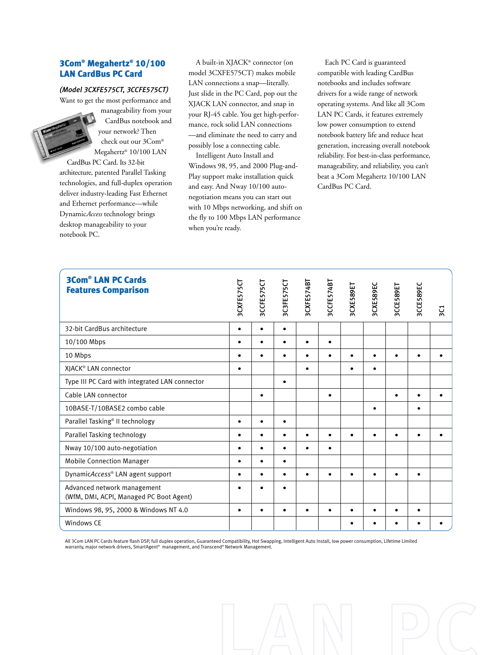# 3Com® Megahertz® 10/100 LAN CardBus PC Card

## *(Model 3CXFE575CT, 3CCFE575CT)*

Want to get the most performance and

manageability from your CardBus notebook and your network? Then check out our 3Com® Megahertz® 10/100 LAN

CardBus PC Card. Its 32-bit architecture, patented Parallel Tasking technologies, and full-duplex operation deliver industry-leading Fast Ethernet and Ethernet performance—while Dynamic*Access* technology brings desktop manageability to your notebook PC.

A built-in XJACK® connector (on model 3CXFE575CT) makes mobile LAN connections a snap—literally. Just slide in the PC Card, pop out the XJACK LAN connector, and snap in your RJ-45 cable. You get high-performance, rock solid LAN connections —and eliminate the need to carry and possibly lose a connecting cable.

Intelligent Auto Install and Windows 98, 95, and 2000 Plug-and-Play support make installation quick and easy. And Nway 10/100 autonegotiation means you can start out with 10 Mbps networking, and shift on the fly to 100 Mbps LAN performance when you're ready.

Each PC Card is guaranteed compatible with leading CardBus notebooks and includes software drivers for a wide range of network operating systems. And like all 3Com LAN PC Cards, it features extremely low power consumption to extend notebook battery life and reduce heat generation, increasing overall notebook reliability. For best-in-class performance, manageability, and reliability, you can't beat a 3Com Megahertz 10/100 LAN CardBus PC Card.

| <b>3Com<sup>®</sup> LAN PC Cards</b><br><b>Features Comparison</b>                                                                                                                                                                                                       | 3CXFE575CT | 3CCFE575CT | 3C3FE575CT | 3CXFE574BT | 3CCFE574B7 | 3CXE589ET | 3CXE589EC | 3CCE589ET | 3CCE589EC | $\overline{5}$ |
|--------------------------------------------------------------------------------------------------------------------------------------------------------------------------------------------------------------------------------------------------------------------------|------------|------------|------------|------------|------------|-----------|-----------|-----------|-----------|----------------|
| 32-bit CardBus architecture                                                                                                                                                                                                                                              | $\bullet$  | $\bullet$  |            |            |            |           |           |           |           |                |
| 10/100 Mbps                                                                                                                                                                                                                                                              | ٠          | $\bullet$  |            |            | $\bullet$  |           |           |           |           |                |
| 10 Mbps                                                                                                                                                                                                                                                                  | $\bullet$  | $\bullet$  | ٠          | ٠          | $\bullet$  | $\bullet$ | $\bullet$ | $\bullet$ | $\bullet$ |                |
| XIACK® LAN connector                                                                                                                                                                                                                                                     | $\bullet$  |            |            | $\bullet$  |            | $\bullet$ | $\bullet$ |           |           |                |
| Type III PC Card with integrated LAN connector                                                                                                                                                                                                                           |            |            | $\bullet$  |            |            |           |           |           |           |                |
| Cable LAN connector                                                                                                                                                                                                                                                      |            | $\bullet$  |            |            | $\bullet$  |           |           | $\bullet$ | $\bullet$ |                |
| 10BASE-T/10BASE2 combo cable                                                                                                                                                                                                                                             |            |            |            |            |            |           | ٠         |           | ٠         |                |
| Parallel Tasking® II technology                                                                                                                                                                                                                                          | $\bullet$  | $\bullet$  | $\bullet$  |            |            |           |           |           |           |                |
| Parallel Tasking technology                                                                                                                                                                                                                                              | $\bullet$  | $\bullet$  |            |            | $\bullet$  |           |           |           |           |                |
| Nway 10/100 auto-negotiation                                                                                                                                                                                                                                             | $\bullet$  | $\bullet$  | ٠          |            | $\bullet$  |           |           |           |           |                |
| <b>Mobile Connection Manager</b>                                                                                                                                                                                                                                         | ٠          | $\bullet$  |            |            |            |           |           |           |           |                |
| DynamicAccess® LAN agent support                                                                                                                                                                                                                                         | $\bullet$  | $\bullet$  |            |            | $\bullet$  | $\bullet$ |           |           | $\bullet$ |                |
| Advanced network management<br>(WfM, DMI, ACPI, Managed PC Boot Agent)                                                                                                                                                                                                   |            |            |            |            |            |           |           |           |           |                |
| Windows 98, 95, 2000 & Windows NT 4.0                                                                                                                                                                                                                                    | ٠          | ٠          |            |            | $\bullet$  |           |           |           | ٠         |                |
| Windows CE                                                                                                                                                                                                                                                               |            |            |            |            |            | ٠         |           |           |           |                |
| All 3Com LAN PC Cards feature flash DSP, full duplex operation, Guaranteed Compatibility, Hot Swapping, Intelligent Auto Install, low power consumption, Lifetime Limited<br>warranty, major network drivers, SmartAgent® management, and Transcend® Network Management. |            |            |            |            |            |           |           |           |           |                |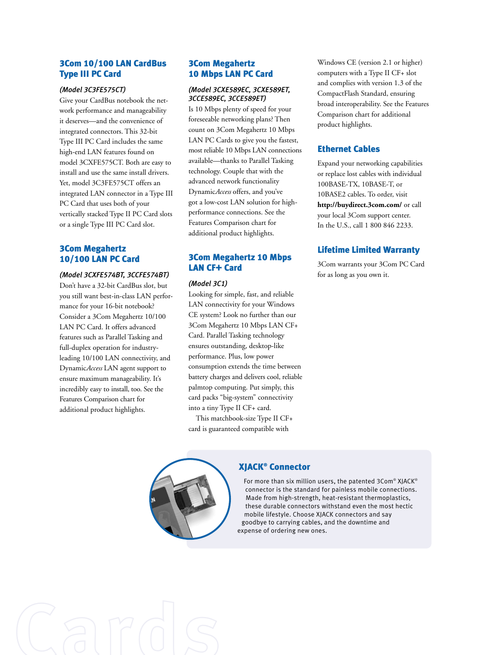# 3Com 10/100 LAN CardBus Type III PC Card

## *(Model 3C3FE575CT)*

Give your CardBus notebook the network performance and manageability it deserves—and the convenience of integrated connectors. This 32-bit Type III PC Card includes the same high-end LAN features found on model 3CXFE575CT. Both are easy to install and use the same install drivers. Yet, model 3C3FE575CT offers an integrated LAN connector in a Type III PC Card that uses both of your vertically stacked Type II PC Card slots or a single Type III PC Card slot.

# 3Com Megahertz 10/100 LAN PC Card

## *(Model 3CXFE574BT, 3CCFE574BT)*

Don't have a 32-bit CardBus slot, but you still want best-in-class LAN performance for your 16-bit notebook? Consider a 3Com Megahertz 10/100 LAN PC Card. It offers advanced features such as Parallel Tasking and full-duplex operation for industryleading 10/100 LAN connectivity, and Dynamic*Access* LAN agent support to ensure maximum manageability. It's incredibly easy to install, too. See the Features Comparison chart for additional product highlights.

## 3Com Megahertz 10 Mbps LAN PC Card

## *(Model 3CXE589EC, 3CXE589ET, 3CCE589EC, 3CCE589ET)*

Is 10 Mbps plenty of speed for your foreseeable networking plans? Then count on 3Com Megahertz 10 Mbps LAN PC Cards to give you the fastest, most reliable 10 Mbps LAN connections available—thanks to Parallel Tasking technology. Couple that with the advanced network functionality Dynamic*Access* offers, and you've got a low-cost LAN solution for highperformance connections. See the Features Comparison chart for additional product highlights.

# 3Com Megahertz 10 Mbps LAN CF+ Card

## *(Model 3C1)*

Looking for simple, fast, and reliable LAN connectivity for your Windows CE system? Look no further than our 3Com Megahertz 10 Mbps LAN CF+ Card. Parallel Tasking technology ensures outstanding, desktop-like performance. Plus, low power consumption extends the time between battery charges and delivers cool, reliable palmtop computing. Put simply, this card packs "big-system" connectivity into a tiny Type II CF+ card.

This matchbook-size Type II CF+ card is guaranteed compatible with

Windows CE (version 2.1 or higher) computers with a Type II CF+ slot and complies with version 1.3 of the CompactFlash Standard, ensuring broad interoperability. See the Features Comparison chart for additional product highlights.

# Ethernet Cables

Expand your networking capabilities or replace lost cables with individual 100BASE-TX, 10BASE-T, or 10BASE2 cables. To order, visit **http://buydirect.3com.com/** or call your local 3Com support center. In the U.S., call 1 800 846 2233.

# Lifetime Limited Warranty

3Com warrants your 3Com PC Card for as long as you own it.



## XJACK® Connector

For more than six million users, the patented 3Com® XJACK® connector is the standard for painless mobile connections. Made from high-strength, heat-resistant thermoplastics, these durable connectors withstand even the most hectic mobile lifestyle. Choose XJACK connectors and say goodbye to carrying cables, and the downtime and expense of ordering new ones.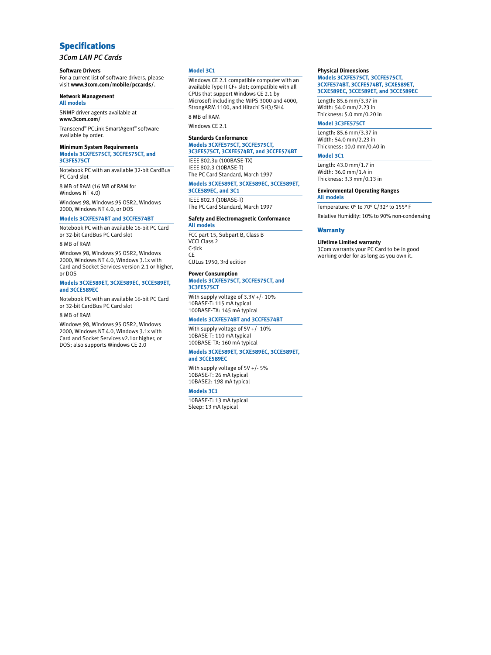# Specifications

*3Com LAN PC Cards*

#### **Software Drivers**

For a current list of software drivers, please visit **www.3com.com/mobile/pccards/**.

#### **Network Management All models**

SNMP driver agents available at **www.3com.com/**

Transcend® PCLink SmartAgent® software available by order.

#### **Minimum System Requirements**

**Models 3CXFE575CT, 3CCFE575CT, and 3C3FE575CT**

Notebook PC with an available 32-bit CardBus PC Card slot

8 MB of RAM (16 MB of RAM for Windows NT 4.0)

Windows 98, Windows 95 OSR2, Windows 2000, Windows NT 4.0, or DOS

#### **Models 3CXFE574BT and 3CCFE574BT**

Notebook PC with an available 16-bit PC Card or 32-bit CardBus PC Card slot

#### 8 MB of RAM

Windows 98, Windows 95 OSR2, Windows 2000, Windows NT 4.0, Windows 3.1x with Card and Socket Services version 2.1 or higher, or DOS

#### **Models 3CXE589ET, 3CXE589EC, 3CCE589ET, and 3CCE589EC**

Notebook PC with an available 16-bit PC Card or 32-bit CardBus PC Card slot

#### 8 MB of RAM

Windows 98, Windows 95 OSR2, Windows 2000, Windows NT 4.0, Windows 3.1x with Card and Socket Services v2.1or higher, or DOS; also supports Windows CE 2.0

#### **Model 3C1**

Windows CE 2.1 compatible computer with an available Type II CF+ slot; compatible with all CPUs that support Windows CE 2.1 by Microsoft including the MIPS 3000 and 4000, StrongARM 1100, and Hitachi SH3/SH4 8 MB of RAM

# Windows CE 2.1

## **Standards Conformance**

# **Models 3CXFE575CT, 3CCFE575CT, 3C3FE575CT, 3CXFE574BT, and 3CCFE574BT**

IEEE 802.3u (100BASE-TX) IEEE 802.3 (10BASE-T) The PC Card Standard, March 1997

#### **Models 3CXE589ET, 3CXE589EC, 3CCE589ET,**

**3CCE589EC, and 3C1** IEEE 802.3 (10BASE-T)

The PC Card Standard, March 1997

#### **Safety and Electromagnetic Conformance All models**

FCC part 15, Subpart B, Class B VCCI Class 2 C-tick CE CULus 1950, 3rd edition

#### **Power Consumption Models 3CXFE575CT, 3CCFE575CT, and 3C3FE575CT**

With supply voltage of 3.3V +/- 10% 10BASE-T: 115 mA typical

# 100BASE-TX: 145 mA typical

## **Models 3CXFE574BT and 3CCFE574BT**

With supply voltage of 5V +/- 10% 10BASE-T: 110 mA typical 100BASE-TX: 160 mA typical

#### **Models 3CXE589ET, 3CXE589EC, 3CCE589ET,**

## **and 3CCE589EC**

With supply voltage of 5V +/- 5% 10BASE-T: 26 mA typical 10BASE2: 198 mA typical

### **Models 3C1**

10BASE-T: 13 mA typical Sleep: 13 mA typical

#### **Physical Dimensions**

**Models 3CXFE575CT, 3CCFE575CT, 3CXFE574BT, 3CCFE574BT, 3CXE589ET, 3CXE589EC, 3CCE589ET, and 3CCE589EC**

Length: 85.6 mm/3.37 in Width: 54.0 mm/2.23 in Thickness: 5.0 mm/0.20 in

#### **Model 3C3FE575CT**

Length: 85.6 mm/3.37 in Width: 54.0 mm/2.23 in Thickness: 10.0 mm/0.40 in

#### **Model 3C1**

Length: 43.0 mm/1.7 in Width: 36.0 mm/1.4 in Thickness: 3.3 mm/0.13 in

## **Environmental Operating Ranges**

**All models**

Temperature: 0° to 70° C/32° to 155° F

#### Relative Humidity: 10% to 90% non-condensing

#### **Warranty**

#### **Lifetime Limited warranty**

3Com warrants your PC Card to be in good working order for as long as you own it.